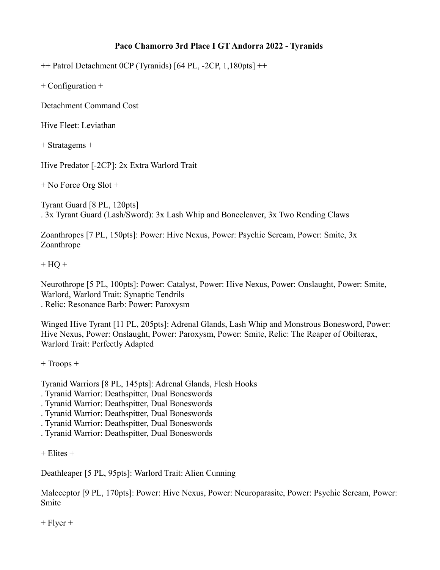## **Paco Chamorro 3rd Place I GT Andorra 2022 - Tyranids**

++ Patrol Detachment 0CP (Tyranids) [64 PL, -2CP, 1,180pts] ++

+ Configuration +

Detachment Command Cost

Hive Fleet: Leviathan

+ Stratagems +

Hive Predator [-2CP]: 2x Extra Warlord Trait

+ No Force Org Slot +

Tyrant Guard [8 PL, 120pts] . 3x Tyrant Guard (Lash/Sword): 3x Lash Whip and Bonecleaver, 3x Two Rending Claws

Zoanthropes [7 PL, 150pts]: Power: Hive Nexus, Power: Psychic Scream, Power: Smite, 3x Zoanthrope

 $+ HO +$ 

Neurothrope [5 PL, 100pts]: Power: Catalyst, Power: Hive Nexus, Power: Onslaught, Power: Smite, Warlord, Warlord Trait: Synaptic Tendrils . Relic: Resonance Barb: Power: Paroxysm

Winged Hive Tyrant [11 PL, 205pts]: Adrenal Glands, Lash Whip and Monstrous Bonesword, Power: Hive Nexus, Power: Onslaught, Power: Paroxysm, Power: Smite, Relic: The Reaper of Obilterax, Warlord Trait: Perfectly Adapted

+ Troops +

Tyranid Warriors [8 PL, 145pts]: Adrenal Glands, Flesh Hooks

- . Tyranid Warrior: Deathspitter, Dual Boneswords
- . Tyranid Warrior: Deathspitter, Dual Boneswords
- . Tyranid Warrior: Deathspitter, Dual Boneswords
- . Tyranid Warrior: Deathspitter, Dual Boneswords
- . Tyranid Warrior: Deathspitter, Dual Boneswords

 $+$  Elites  $+$ 

Deathleaper [5 PL, 95pts]: Warlord Trait: Alien Cunning

Maleceptor [9 PL, 170pts]: Power: Hive Nexus, Power: Neuroparasite, Power: Psychic Scream, Power: Smite

 $+$  Flyer  $+$